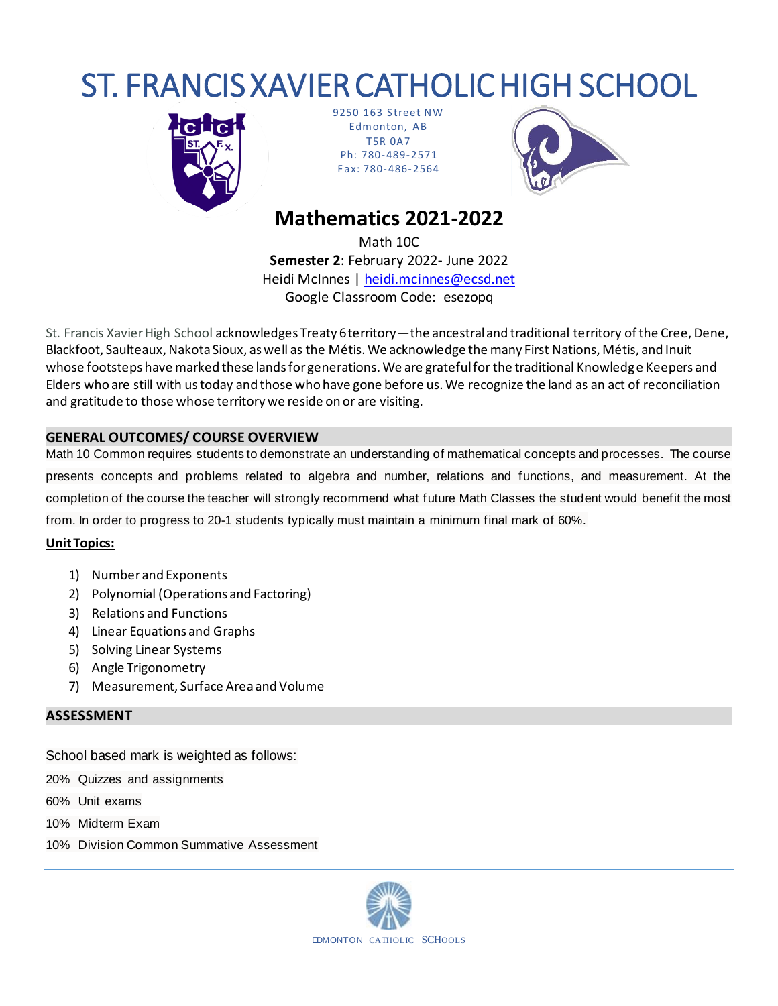# ST. FRANCIS XAVIER CATHOLIC HIGH SCHOOL



9250 163 Street NW Edm onton, AB T5R 0A7 Ph: 780-489-2571 F ax: 780-486-2564



## **Mathematics 2021-2022**

Math 10C **Semester 2**: February 2022- June 2022 Heidi McInnes | heidi.mcinnes@ecsd.net Google Classroom Code: esezopq

St*.* Francis Xavier High School acknowledges Treaty 6 territory—the ancestral and traditional territory of the Cree, Dene, Blackfoot, Saulteaux, Nakota Sioux, as well as the Métis. We acknowledge the many First Nations, Métis, and Inuit whose footsteps have marked these lands for generations. We are grateful for the traditional Knowledge Keepers and Elders who are still with us today and those who have gone before us. We recognize the land as an act of reconciliation and gratitude to those whose territory we reside on or are visiting.

### **GENERAL OUTCOMES/ COURSE OVERVIEW**

Math 10 Common requires students to demonstrate an understanding of mathematical concepts and processes. The course presents concepts and problems related to algebra and number, relations and functions, and measurement. At the completion of the course the teacher will strongly recommend what future Math Classes the student would benefit the most from. In order to progress to 20-1 students typically must maintain a minimum final mark of 60%.

#### **Unit Topics:**

- 1) Number and Exponents
- 2) Polynomial (Operations and Factoring)
- 3) Relations and Functions
- 4) Linear Equations and Graphs
- 5) Solving Linear Systems
- 6) Angle Trigonometry
- 7) Measurement, Surface Area and Volume

#### **ASSESSMENT**

School based mark is weighted as follows:

20% Quizzes and assignments

60% Unit exams

- 10% Midterm Exam
- 10% Division Common Summative Assessment

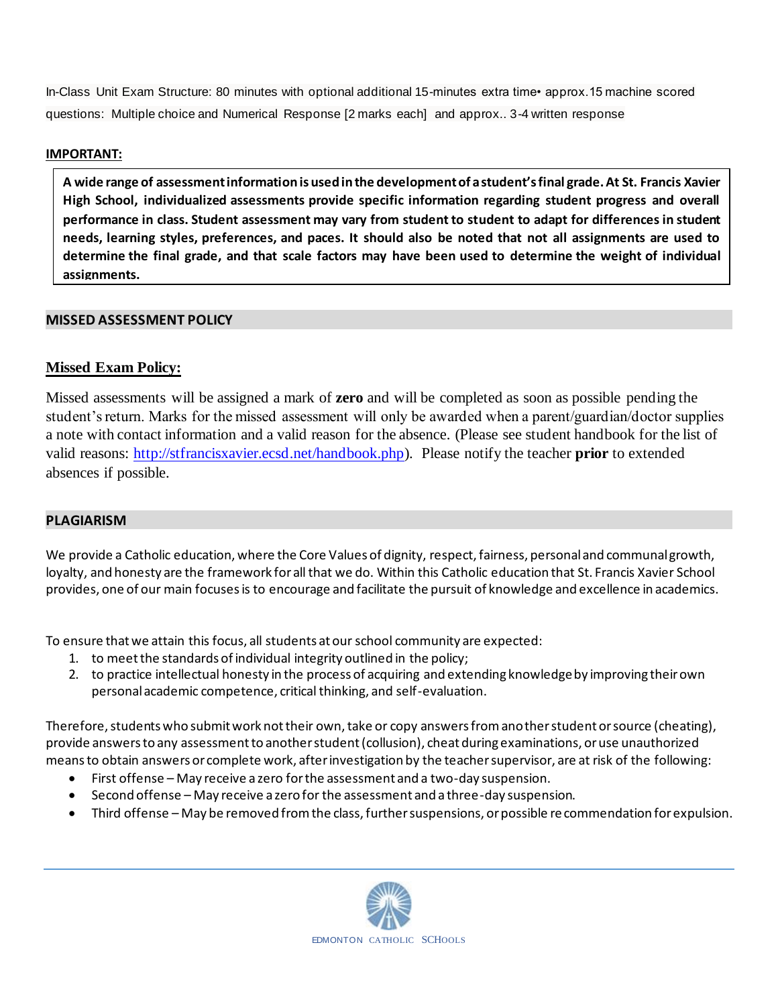In-Class Unit Exam Structure: 80 minutes with optional additional 15-minutes extra time• approx.15 machine scored questions: Multiple choice and Numerical Response [2 marks each] and approx.. 3-4 written response

#### **IMPORTANT:**

**A wide range of assessment information is used in the development of a student's final grade. At St. Francis Xavier High School, individualized assessments provide specific information regarding student progress and overall performance in class. Student assessment may vary from student to student to adapt for differences in student needs, learning styles, preferences, and paces. It should also be noted that not all assignments are used to determine the final grade, and that scale factors may have been used to determine the weight of individual assignments.**

#### **MISSED ASSESSMENT POLICY**

#### **Missed Exam Policy:**

Missed assessments will be assigned a mark of **zero** and will be completed as soon as possible pending the student's return. Marks for the missed assessment will only be awarded when a parent/guardian/doctor supplies a note with contact information and a valid reason for the absence. (Please see student handbook for the list of valid reasons: http://stfrancisxavier.ecsd.net/handbook.php). Please notify the teacher **prior** to extended absences if possible.

#### **PLAGIARISM**

We provide a Catholic education, where the Core Values of dignity, respect, fairness, personal and communal growth, loyalty, and honesty are the framework for all that we do. Within this Catholic education that St. Francis Xavier School provides, one of our main focuses is to encourage and facilitate the pursuit of knowledge and excellence in academics.

To ensure that we attain this focus, all students at our school community are expected:

- 1. to meet the standards of individual integrity outlined in the policy;
- 2. to practice intellectual honesty in the process of acquiring and extending knowledge by improving their own personal academic competence, critical thinking, and self-evaluation.

Therefore, students who submit work not their own, take or copy answers from another student or source (cheating), provide answers to any assessment to another student (collusion), cheat during examinations, or use unauthorized means to obtain answers or complete work, after investigation by the teacher supervisor, are at risk of the following:

- First offense May receive a zero for the assessment and a two-day suspension.
- Second offense May receive a zero for the assessment and a three-day suspension.
- Third offense May be removed from the class, further suspensions, or possible recommendation for expulsion.